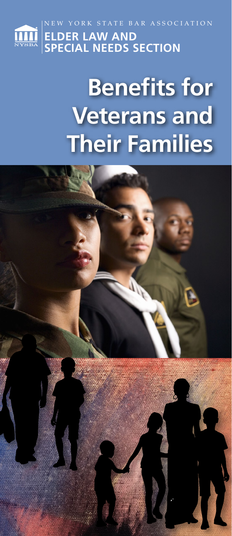

# **Benefits for Veterans and Their Families**

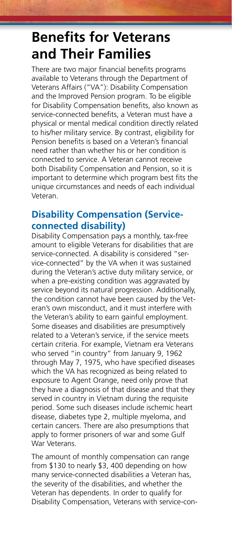# **Benefits for Veterans and Their Families**

There are two major financial benefits programs available to Veterans through the Department of Veterans Affairs ("VA"): Disability Compensation and the Improved Pension program. To be eligible for Disability Compensation benefits, also known as service-connected benefits, a Veteran must have a physical or mental medical condition directly related to his/her military service. By contrast, eligibility for Pension benefits is based on a Veteran's financial need rather than whether his or her condition is connected to service. A Veteran cannot receive both Disability Compensation and Pension, so it is important to determine which program best fits the unique circumstances and needs of each individual Veteran.

# **Disability Compensation (Serviceconnected disability)**

Disability Compensation pays a monthly, tax-free amount to eligible Veterans for disabilities that are service-connected. A disability is considered "service-connected" by the VA when it was sustained during the Veteran's active duty military service, or when a pre-existing condition was aggravated by service beyond its natural progression. Additionally, the condition cannot have been caused by the Veteran's own misconduct, and it must interfere with the Veteran's ability to earn gainful employment. Some diseases and disabilities are presumptively related to a Veteran's service, if the service meets certain criteria. For example, Vietnam era Veterans who served "in country" from January 9, 1962 through May 7, 1975, who have specified diseases which the VA has recognized as being related to exposure to Agent Orange, need only prove that they have a diagnosis of that disease and that they served in country in Vietnam during the requisite period. Some such diseases include ischemic heart disease, diabetes type 2, multiple myeloma, and certain cancers. There are also presumptions that apply to former prisoners of war and some Gulf War Veterans.

The amount of monthly compensation can range from \$130 to nearly \$3, 400 depending on how many service-connected disabilities a Veteran has, the severity of the disabilities, and whether the Veteran has dependents. In order to qualify for Disability Compensation, Veterans with service-con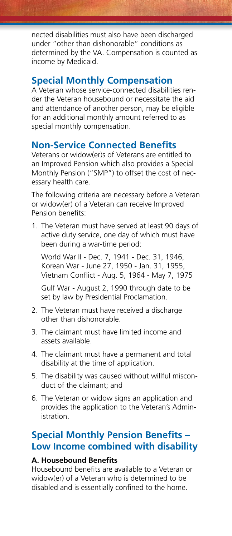nected disabilities must also have been discharged under "other than dishonorable" conditions as determined by the VA. Compensation is counted as income by Medicaid.

# **Special Monthly Compensation**

A Veteran whose service-connected disabilities render the Veteran housebound or necessitate the aid and attendance of another person, may be eligible for an additional monthly amount referred to as special monthly compensation.

# **Non-Service Connected Benefits**

Veterans or widow(er)s of Veterans are entitled to an Improved Pension which also provides a Special Monthly Pension ("SMP") to offset the cost of necessary health care.

The following criteria are necessary before a Veteran or widow(er) of a Veteran can receive Improved Pension benefits:

1. The Veteran must have served at least 90 days of active duty service, one day of which must have been during a war-time period:

 World War II - Dec. 7, 1941 - Dec. 31, 1946, Korean War - June 27, 1950 - Jan. 31, 1955, Vietnam Conflict - Aug. 5, 1964 - May 7, 1975

 Gulf War - August 2, 1990 through date to be set by law by Presidential Proclamation.

- 2. The Veteran must have received a discharge other than dishonorable.
- 3. The claimant must have limited income and assets available.
- 4. The claimant must have a permanent and total disability at the time of application.
- 5. The disability was caused without willful misconduct of the claimant; and
- 6. The Veteran or widow signs an application and provides the application to the Veteran's Administration.

# **Special Monthly Pension Benefits – Low Income combined with disability**

#### **A. Housebound Benefits**

Housebound benefits are available to a Veteran or widow(er) of a Veteran who is determined to be disabled and is essentially confined to the home.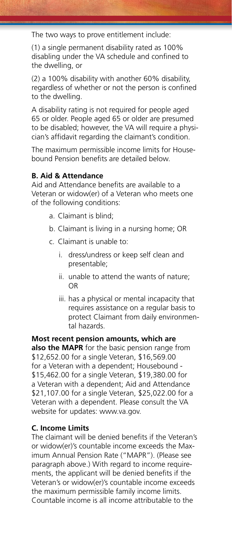The two ways to prove entitlement include:

(1) a single permanent disability rated as 100% disabling under the VA schedule and confined to the dwelling, or

(2) a 100% disability with another 60% disability, regardless of whether or not the person is confined to the dwelling.

A disability rating is not required for people aged 65 or older. People aged 65 or older are presumed to be disabled; however, the VA will require a physician's affidavit regarding the claimant's condition.

The maximum permissible income limits for Housebound Pension benefits are detailed below.

#### **B. Aid & Attendance**

Aid and Attendance benefits are available to a Veteran or widow(er) of a Veteran who meets one of the following conditions:

- a. Claimant is blind;
- b. Claimant is living in a nursing home; OR
- c. Claimant is unable to:
	- i. dress/undress or keep self clean and presentable;
	- ii. unable to attend the wants of nature; OR
	- iii. has a physical or mental incapacity that requires assistance on a regular basis to protect Claimant from daily environmental hazards.

**Most recent pension amounts, which are also the MAPR** for the basic pension range from \$12,652.00 for a single Veteran, \$16,569.00 for a Veteran with a dependent; Housebound - \$15,462.00 for a single Veteran, \$19,380.00 for a Veteran with a dependent; Aid and Attendance \$21,107.00 for a single Veteran, \$25,022.00 for a Veteran with a dependent. Please consult the VA website for updates: www.va.gov.

#### **C. Income Limits**

The claimant will be denied benefits if the Veteran's or widow(er)'s countable income exceeds the Maximum Annual Pension Rate ("MAPR"). (Please see paragraph above.) With regard to income requirements, the applicant will be denied benefits if the Veteran's or widow(er)'s countable income exceeds the maximum permissible family income limits. Countable income is all income attributable to the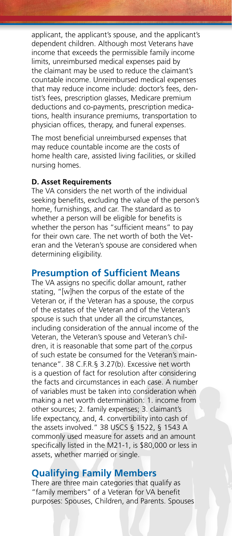applicant, the applicant's spouse, and the applicant's dependent children. Although most Veterans have income that exceeds the permissible family income limits, unreimbursed medical expenses paid by the claimant may be used to reduce the claimant's countable income. Unreimbursed medical expenses that may reduce income include: doctor's fees, dentist's fees, prescription glasses, Medicare premium deductions and co-payments, prescription medications, health insurance premiums, transportation to physician offices, therapy, and funeral expenses.

The most beneficial unreimbursed expenses that may reduce countable income are the costs of home health care, assisted living facilities, or skilled nursing homes.

#### **D. Asset Requirements**

The VA considers the net worth of the individual seeking benefits, excluding the value of the person's home, furnishings, and car. The standard as to whether a person will be eligible for benefits is whether the person has "sufficient means" to pay for their own care. The net worth of both the Veteran and the Veteran's spouse are considered when determining eligibility.

#### **Presumption of Sufficient Means**

The VA assigns no specific dollar amount, rather stating, "[w]hen the corpus of the estate of the Veteran or, if the Veteran has a spouse, the corpus of the estates of the Veteran and of the Veteran's spouse is such that under all the circumstances, including consideration of the annual income of the Veteran, the Veteran's spouse and Veteran's children, it is reasonable that some part of the corpus of such estate be consumed for the Veteran's maintenance". 38 C.F.R.§ 3.27(b). Excessive net worth is a question of fact for resolution after considering the facts and circumstances in each case. A number of variables must be taken into consideration when making a net worth determination: 1. income from other sources; 2. family expenses; 3. claimant's life expectancy, and, 4. convertibility into cash of the assets involved." 38 USCS § 1522, § 1543 A commonly used measure for assets and an amount specifically listed in the M21-1, is \$80,000 or less in assets, whether married or single.

# **Qualifying Family Members**

There are three main categories that qualify as "family members" of a Veteran for VA benefit purposes: Spouses, Children, and Parents. Spouses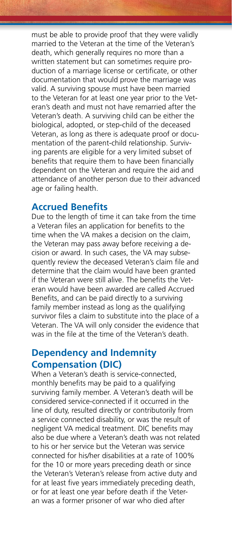must be able to provide proof that they were validly married to the Veteran at the time of the Veteran's death, which generally requires no more than a written statement but can sometimes require production of a marriage license or certificate, or other documentation that would prove the marriage was valid. A surviving spouse must have been married to the Veteran for at least one year prior to the Veteran's death and must not have remarried after the Veteran's death. A surviving child can be either the biological, adopted, or step-child of the deceased Veteran, as long as there is adequate proof or documentation of the parent-child relationship. Surviving parents are eligible for a very limited subset of benefits that require them to have been financially dependent on the Veteran and require the aid and attendance of another person due to their advanced age or failing health.

### **Accrued Benefits**

Due to the length of time it can take from the time a Veteran files an application for benefits to the time when the VA makes a decision on the claim, the Veteran may pass away before receiving a decision or award. In such cases, the VA may subsequently review the deceased Veteran's claim file and determine that the claim would have been granted if the Veteran were still alive. The benefits the Veteran would have been awarded are called Accrued Benefits, and can be paid directly to a surviving family member instead as long as the qualifying survivor files a claim to substitute into the place of a Veteran. The VA will only consider the evidence that was in the file at the time of the Veteran's death.

# **Dependency and Indemnity Compensation (DIC)**

When a Veteran's death is service-connected, monthly benefits may be paid to a qualifying surviving family member. A Veteran's death will be considered service-connected if it occurred in the line of duty, resulted directly or contributorily from a service connected disability, or was the result of negligent VA medical treatment. DIC benefits may also be due where a Veteran's death was not related to his or her service but the Veteran was service connected for his/her disabilities at a rate of 100% for the 10 or more years preceding death or since the Veteran's Veteran's release from active duty and for at least five years immediately preceding death, or for at least one year before death if the Veteran was a former prisoner of war who died after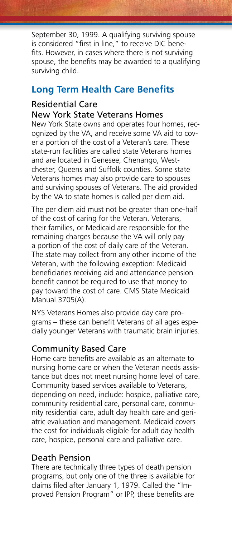September 30, 1999. A qualifying surviving spouse is considered "first in line," to receive DIC benefits. However, in cases where there is not surviving spouse, the benefits may be awarded to a qualifying surviving child.

# **Long Term Health Care Benefits**

#### Residential Care New York State Veterans Homes

New York State owns and operates four homes, recognized by the VA, and receive some VA aid to cover a portion of the cost of a Veteran's care. These state-run facilities are called state Veterans homes and are located in Genesee, Chenango, Westchester, Queens and Suffolk counties. Some state Veterans homes may also provide care to spouses and surviving spouses of Veterans. The aid provided by the VA to state homes is called per diem aid.

The per diem aid must not be greater than one-half of the cost of caring for the Veteran. Veterans, their families, or Medicaid are responsible for the remaining charges because the VA will only pay a portion of the cost of daily care of the Veteran. The state may collect from any other income of the Veteran, with the following exception: Medicaid beneficiaries receiving aid and attendance pension benefit cannot be required to use that money to pay toward the cost of care. CMS State Medicaid Manual 3705(A).

NYS Veterans Homes also provide day care programs – these can benefit Veterans of all ages especially younger Veterans with traumatic brain injuries.

#### Community Based Care

Home care benefits are available as an alternate to nursing home care or when the Veteran needs assistance but does not meet nursing home level of care. Community based services available to Veterans, depending on need, include: hospice, palliative care, community residential care, personal care, community residential care, adult day health care and geriatric evaluation and management. Medicaid covers the cost for individuals eligible for adult day health care, hospice, personal care and palliative care.

#### Death Pension

There are technically three types of death pension programs, but only one of the three is available for claims filed after January 1, 1979. Called the "Improved Pension Program" or IPP, these benefits are